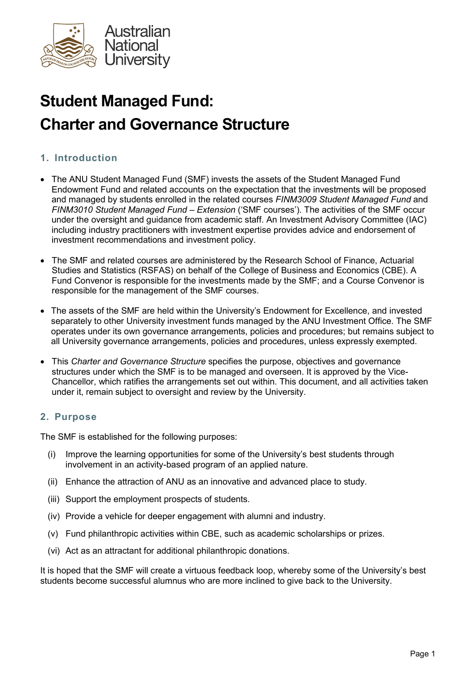

# Student Managed Fund: Charter and Governance Structure

# 1. Introduction

- The ANU Student Managed Fund (SMF) invests the assets of the Student Managed Fund Endowment Fund and related accounts on the expectation that the investments will be proposed and managed by students enrolled in the related courses FINM3009 Student Managed Fund and FINM3010 Student Managed Fund – Extension ('SMF courses'). The activities of the SMF occur under the oversight and guidance from academic staff. An Investment Advisory Committee (IAC) including industry practitioners with investment expertise provides advice and endorsement of investment recommendations and investment policy.
- The SMF and related courses are administered by the Research School of Finance, Actuarial Studies and Statistics (RSFAS) on behalf of the College of Business and Economics (CBE). A Fund Convenor is responsible for the investments made by the SMF; and a Course Convenor is responsible for the management of the SMF courses.
- The assets of the SMF are held within the University's Endowment for Excellence, and invested separately to other University investment funds managed by the ANU Investment Office. The SMF operates under its own governance arrangements, policies and procedures; but remains subject to all University governance arrangements, policies and procedures, unless expressly exempted.
- This Charter and Governance Structure specifies the purpose, objectives and governance structures under which the SMF is to be managed and overseen. It is approved by the Vice-Chancellor, which ratifies the arrangements set out within. This document, and all activities taken under it, remain subject to oversight and review by the University.

# 2. Purpose

The SMF is established for the following purposes:

- (i) Improve the learning opportunities for some of the University's best students through involvement in an activity-based program of an applied nature.
- (ii) Enhance the attraction of ANU as an innovative and advanced place to study.
- (iii) Support the employment prospects of students.
- (iv) Provide a vehicle for deeper engagement with alumni and industry.
- (v) Fund philanthropic activities within CBE, such as academic scholarships or prizes.
- (vi) Act as an attractant for additional philanthropic donations.

It is hoped that the SMF will create a virtuous feedback loop, whereby some of the University's best students become successful alumnus who are more inclined to give back to the University.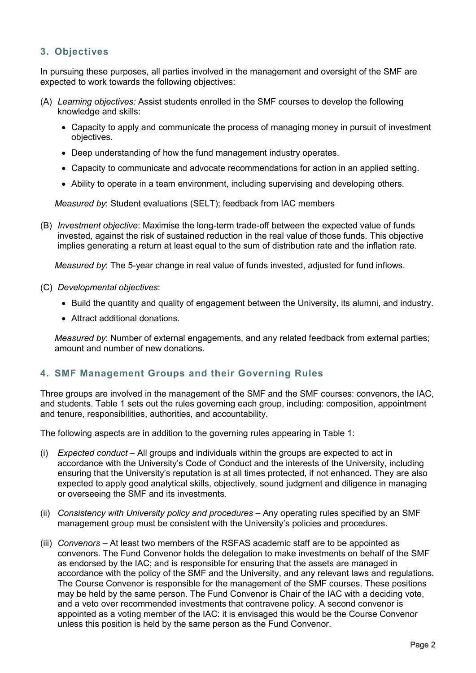# 3. Objectives

In pursuing these purposes, all parties involved in the management and oversight of the SMF are expected to work towards the following objectives:

- (A) Learning objectives: Assist students enrolled in the SMF courses to develop the following knowledge and skills:
	- Capacity to apply and communicate the process of managing money in pursuit of investment objectives.
	- Deep understanding of how the fund management industry operates.
	- Capacity to communicate and advocate recommendations for action in an applied setting.
	- Ability to operate in a team environment, including supervising and developing others.

Measured by: Student evaluations (SELT); feedback from IAC members

(B) Investment objective: Maximise the long-term trade-off between the expected value of funds invested, against the risk of sustained reduction in the real value of those funds. This objective implies generating a return at least equal to the sum of distribution rate and the inflation rate.

Measured by: The 5-year change in real value of funds invested, adjusted for fund inflows.

- (C) Developmental objectives:
	- Build the quantity and quality of engagement between the University, its alumni, and industry.
	- Attract additional donations.

Measured by: Number of external engagements, and any related feedback from external parties; amount and number of new donations.

# 4. SMF Management Groups and their Governing Rules

Three groups are involved in the management of the SMF and the SMF courses: convenors, the IAC, and students. Table 1 sets out the rules governing each group, including: composition, appointment and tenure, responsibilities, authorities, and accountability.

The following aspects are in addition to the governing rules appearing in Table 1:

- (i) Expected conduct All groups and individuals within the groups are expected to act in accordance with the University's Code of Conduct and the interests of the University, including ensuring that the University's reputation is at all times protected, if not enhanced. They are also expected to apply good analytical skills, objectively, sound judgment and diligence in managing or overseeing the SMF and its investments.
- (ii) Consistency with University policy and procedures Any operating rules specified by an SMF management group must be consistent with the University's policies and procedures.
- (iii) Convenors At least two members of the RSFAS academic staff are to be appointed as convenors. The Fund Convenor holds the delegation to make investments on behalf of the SMF as endorsed by the IAC; and is responsible for ensuring that the assets are managed in accordance with the policy of the SMF and the University, and any relevant laws and regulations. The Course Convenor is responsible for the management of the SMF courses. These positions may be held by the same person. The Fund Convenor is Chair of the IAC with a deciding vote, and a veto over recommended investments that contravene policy. A second convenor is appointed as a voting member of the IAC: it is envisaged this would be the Course Convenor unless this position is held by the same person as the Fund Convenor.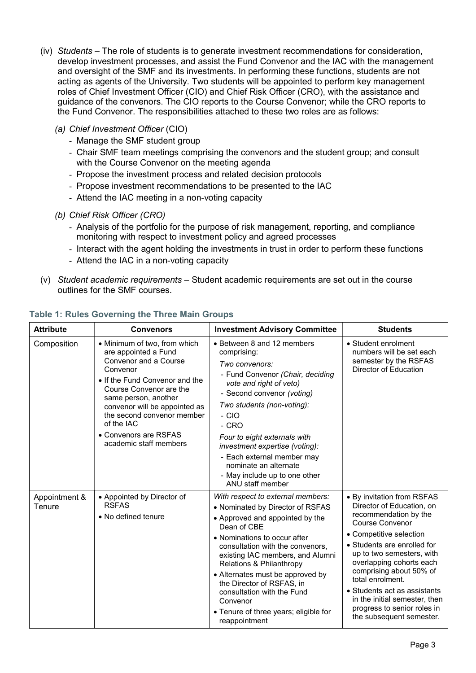- (iv) Students The role of students is to generate investment recommendations for consideration, develop investment processes, and assist the Fund Convenor and the IAC with the management and oversight of the SMF and its investments. In performing these functions, students are not acting as agents of the University. Two students will be appointed to perform key management roles of Chief Investment Officer (CIO) and Chief Risk Officer (CRO), with the assistance and guidance of the convenors. The CIO reports to the Course Convenor; while the CRO reports to the Fund Convenor. The responsibilities attached to these two roles are as follows:
	- (a) Chief Investment Officer (CIO)
		- Manage the SMF student group
		- Chair SMF team meetings comprising the convenors and the student group; and consult with the Course Convenor on the meeting agenda
		- Propose the investment process and related decision protocols
		- Propose investment recommendations to be presented to the IAC
		- Attend the IAC meeting in a non-voting capacity
	- (b) Chief Risk Officer (CRO)
		- Analysis of the portfolio for the purpose of risk management, reporting, and compliance monitoring with respect to investment policy and agreed processes
		- Interact with the agent holding the investments in trust in order to perform these functions
		- Attend the IAC in a non-voting capacity
- $(v)$  Student academic requirements Student academic requirements are set out in the course outlines for the SMF courses.

| <b>Attribute</b>        | <b>Convenors</b>                                                                                                                                                                                                                                                                                               | <b>Investment Advisory Committee</b>                                                                                                                                                                                                                                                                                                                                                                                             | <b>Students</b>                                                                                                                                                                                                                                                                                                                                                                                          |
|-------------------------|----------------------------------------------------------------------------------------------------------------------------------------------------------------------------------------------------------------------------------------------------------------------------------------------------------------|----------------------------------------------------------------------------------------------------------------------------------------------------------------------------------------------------------------------------------------------------------------------------------------------------------------------------------------------------------------------------------------------------------------------------------|----------------------------------------------------------------------------------------------------------------------------------------------------------------------------------------------------------------------------------------------------------------------------------------------------------------------------------------------------------------------------------------------------------|
| Composition             | • Minimum of two, from which<br>are appointed a Fund<br>Convenor and a Course<br>Convenor<br>• If the Fund Convenor and the<br>Course Convenor are the<br>same person, another<br>convenor will be appointed as<br>the second convenor member<br>of the IAC<br>• Convenors are RSFAS<br>academic staff members | • Between 8 and 12 members<br>comprising:<br>Two convenors:<br>- Fund Convenor (Chair, deciding<br>vote and right of veto)<br>- Second convenor (voting)<br>Two students (non-voting):<br>$-$ CIO<br>- CRO<br>Four to eight externals with<br>investment expertise (voting):<br>- Each external member may<br>nominate an alternate<br>- May include up to one other<br>ANU staff member                                         | • Student enrolment<br>numbers will be set each<br>semester by the RSFAS<br>Director of Education                                                                                                                                                                                                                                                                                                        |
| Appointment &<br>Tenure | • Appointed by Director of<br><b>RSFAS</b><br>• No defined tenure                                                                                                                                                                                                                                              | With respect to external members:<br>• Nominated by Director of RSFAS<br>• Approved and appointed by the<br>Dean of CBE<br>• Nominations to occur after<br>consultation with the convenors,<br>existing IAC members, and Alumni<br>Relations & Philanthropy<br>• Alternates must be approved by<br>the Director of RSFAS, in<br>consultation with the Fund<br>Convenor<br>• Tenure of three years; eligible for<br>reappointment | • By invitation from RSFAS<br>Director of Education, on<br>recommendation by the<br><b>Course Convenor</b><br>• Competitive selection<br>• Students are enrolled for<br>up to two semesters, with<br>overlapping cohorts each<br>comprising about 50% of<br>total enrolment.<br>• Students act as assistants<br>in the initial semester, then<br>progress to senior roles in<br>the subsequent semester. |

#### Table 1: Rules Governing the Three Main Groups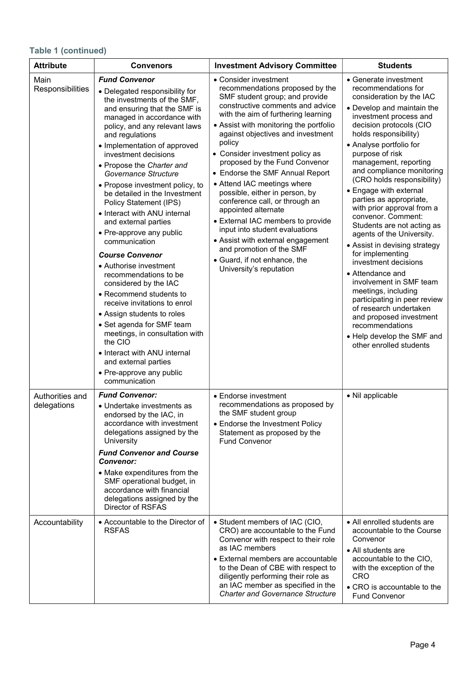# Table 1 (continued)

| <b>Attribute</b>               | <b>Convenors</b>                                                                                                                                                                                                                                                                                                                                                                                                                                                                                                                                                                                                                                                                                                                                                                                                                                                                                      | <b>Investment Advisory Committee</b>                                                                                                                                                                                                                                                                                                                                                                                                                                                                                                                                                                                                                                                               | <b>Students</b>                                                                                                                                                                                                                                                                                                                                                                                                                                                                                                                                                                                                                                                                                                                                                                                                |  |  |
|--------------------------------|-------------------------------------------------------------------------------------------------------------------------------------------------------------------------------------------------------------------------------------------------------------------------------------------------------------------------------------------------------------------------------------------------------------------------------------------------------------------------------------------------------------------------------------------------------------------------------------------------------------------------------------------------------------------------------------------------------------------------------------------------------------------------------------------------------------------------------------------------------------------------------------------------------|----------------------------------------------------------------------------------------------------------------------------------------------------------------------------------------------------------------------------------------------------------------------------------------------------------------------------------------------------------------------------------------------------------------------------------------------------------------------------------------------------------------------------------------------------------------------------------------------------------------------------------------------------------------------------------------------------|----------------------------------------------------------------------------------------------------------------------------------------------------------------------------------------------------------------------------------------------------------------------------------------------------------------------------------------------------------------------------------------------------------------------------------------------------------------------------------------------------------------------------------------------------------------------------------------------------------------------------------------------------------------------------------------------------------------------------------------------------------------------------------------------------------------|--|--|
| Main<br>Responsibilities       | <b>Fund Convenor</b><br>• Delegated responsibility for<br>the investments of the SMF,<br>and ensuring that the SMF is<br>managed in accordance with<br>policy, and any relevant laws<br>and regulations<br>• Implementation of approved<br>investment decisions<br>• Propose the Charter and<br>Governance Structure<br>• Propose investment policy, to<br>be detailed in the Investment<br>Policy Statement (IPS)<br>• Interact with ANU internal<br>and external parties<br>• Pre-approve any public<br>communication<br><b>Course Convenor</b><br>• Authorise investment<br>recommendations to be<br>considered by the IAC<br>• Recommend students to<br>receive invitations to enrol<br>• Assign students to roles<br>• Set agenda for SMF team<br>meetings, in consultation with<br>the CIO<br>• Interact with ANU internal<br>and external parties<br>• Pre-approve any public<br>communication | • Consider investment<br>recommendations proposed by the<br>SMF student group; and provide<br>constructive comments and advice<br>with the aim of furthering learning<br>• Assist with monitoring the portfolio<br>against objectives and investment<br>policy<br>• Consider investment policy as<br>proposed by the Fund Convenor<br>• Endorse the SMF Annual Report<br>• Attend IAC meetings where<br>possible, either in person, by<br>conference call, or through an<br>appointed alternate<br>• External IAC members to provide<br>input into student evaluations<br>• Assist with external engagement<br>and promotion of the SMF<br>• Guard, if not enhance, the<br>University's reputation | • Generate investment<br>recommendations for<br>consideration by the IAC<br>• Develop and maintain the<br>investment process and<br>decision protocols (CIO<br>holds responsibility)<br>• Analyse portfolio for<br>purpose of risk<br>management, reporting<br>and compliance monitoring<br>(CRO holds responsibility)<br>• Engage with external<br>parties as appropriate,<br>with prior approval from a<br>convenor. Comment:<br>Students are not acting as<br>agents of the University.<br>• Assist in devising strategy<br>for implementing<br>investment decisions<br>• Attendance and<br>involvement in SMF team<br>meetings, including<br>participating in peer review<br>of research undertaken<br>and proposed investment<br>recommendations<br>• Help develop the SMF and<br>other enrolled students |  |  |
| Authorities and<br>delegations | <b>Fund Convenor:</b><br>• Undertake investments as<br>endorsed by the IAC, in<br>accordance with investment<br>delegations assigned by the<br>University<br><b>Fund Convenor and Course</b><br><b>Convenor:</b><br>• Make expenditures from the<br>SMF operational budget, in<br>accordance with financial<br>delegations assigned by the<br>Director of RSFAS                                                                                                                                                                                                                                                                                                                                                                                                                                                                                                                                       | • Endorse investment<br>recommendations as proposed by<br>the SMF student group<br>• Endorse the Investment Policy<br>Statement as proposed by the<br><b>Fund Convenor</b>                                                                                                                                                                                                                                                                                                                                                                                                                                                                                                                         | • Nil applicable                                                                                                                                                                                                                                                                                                                                                                                                                                                                                                                                                                                                                                                                                                                                                                                               |  |  |
| Accountability                 | • Accountable to the Director of<br><b>RSFAS</b>                                                                                                                                                                                                                                                                                                                                                                                                                                                                                                                                                                                                                                                                                                                                                                                                                                                      | • Student members of IAC (CIO,<br>CRO) are accountable to the Fund<br>Convenor with respect to their role<br>as IAC members<br>• External members are accountable<br>to the Dean of CBE with respect to<br>diligently performing their role as<br>an IAC member as specified in the<br><b>Charter and Governance Structure</b>                                                                                                                                                                                                                                                                                                                                                                     | • All enrolled students are<br>accountable to the Course<br>Convenor<br>• All students are<br>accountable to the CIO,<br>with the exception of the<br><b>CRO</b><br>• CRO is accountable to the<br><b>Fund Convenor</b>                                                                                                                                                                                                                                                                                                                                                                                                                                                                                                                                                                                        |  |  |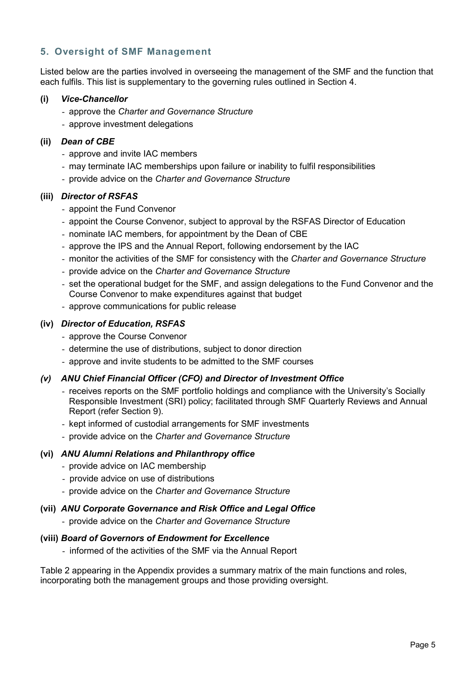# 5. Oversight of SMF Management

Listed below are the parties involved in overseeing the management of the SMF and the function that each fulfils. This list is supplementary to the governing rules outlined in Section 4.

## (i) Vice-Chancellor

- approve the Charter and Governance Structure
- approve investment delegations

## (ii) Dean of CBE

- approve and invite IAC members
- may terminate IAC memberships upon failure or inability to fulfil responsibilities
- provide advice on the Charter and Governance Structure

# (iii) Director of RSFAS

- appoint the Fund Convenor
- appoint the Course Convenor, subject to approval by the RSFAS Director of Education
- nominate IAC members, for appointment by the Dean of CBE
- approve the IPS and the Annual Report, following endorsement by the IAC
- monitor the activities of the SMF for consistency with the Charter and Governance Structure
- provide advice on the Charter and Governance Structure
- set the operational budget for the SMF, and assign delegations to the Fund Convenor and the Course Convenor to make expenditures against that budget
- approve communications for public release

# (iv) Director of Education, RSFAS

- approve the Course Convenor
- determine the use of distributions, subject to donor direction
- approve and invite students to be admitted to the SMF courses

# (v) ANU Chief Financial Officer (CFO) and Director of Investment Office

- receives reports on the SMF portfolio holdings and compliance with the University's Socially Responsible Investment (SRI) policy; facilitated through SMF Quarterly Reviews and Annual Report (refer Section 9).
- kept informed of custodial arrangements for SMF investments
- provide advice on the Charter and Governance Structure

## (vi) ANU Alumni Relations and Philanthropy office

- provide advice on IAC membership
- provide advice on use of distributions
- provide advice on the Charter and Governance Structure

# (vii) ANU Corporate Governance and Risk Office and Legal Office

- provide advice on the Charter and Governance Structure

## (viii) Board of Governors of Endowment for Excellence

- informed of the activities of the SMF via the Annual Report

Table 2 appearing in the Appendix provides a summary matrix of the main functions and roles, incorporating both the management groups and those providing oversight.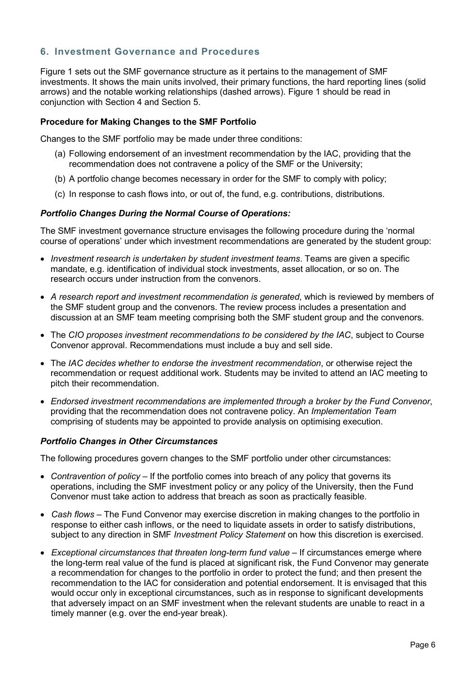# 6. Investment Governance and Procedures

Figure 1 sets out the SMF governance structure as it pertains to the management of SMF investments. It shows the main units involved, their primary functions, the hard reporting lines (solid arrows) and the notable working relationships (dashed arrows). Figure 1 should be read in conjunction with Section 4 and Section 5.

## Procedure for Making Changes to the SMF Portfolio

Changes to the SMF portfolio may be made under three conditions:

- (a) Following endorsement of an investment recommendation by the IAC, providing that the recommendation does not contravene a policy of the SMF or the University;
- (b) A portfolio change becomes necessary in order for the SMF to comply with policy;
- (c) In response to cash flows into, or out of, the fund, e.g. contributions, distributions.

## Portfolio Changes During the Normal Course of Operations:

The SMF investment governance structure envisages the following procedure during the 'normal course of operations' under which investment recommendations are generated by the student group:

- Investment research is undertaken by student investment teams. Teams are given a specific mandate, e.g. identification of individual stock investments, asset allocation, or so on. The research occurs under instruction from the convenors.
- A research report and investment recommendation is generated, which is reviewed by members of the SMF student group and the convenors. The review process includes a presentation and discussion at an SMF team meeting comprising both the SMF student group and the convenors.
- The CIO proposes investment recommendations to be considered by the IAC, subject to Course Convenor approval. Recommendations must include a buy and sell side.
- The IAC decides whether to endorse the investment recommendation, or otherwise reject the recommendation or request additional work. Students may be invited to attend an IAC meeting to pitch their recommendation.
- Endorsed investment recommendations are implemented through a broker by the Fund Convenor, providing that the recommendation does not contravene policy. An *Implementation Team* comprising of students may be appointed to provide analysis on optimising execution.

## Portfolio Changes in Other Circumstances

The following procedures govern changes to the SMF portfolio under other circumstances:

- Contravention of policy If the portfolio comes into breach of any policy that governs its operations, including the SMF investment policy or any policy of the University, then the Fund Convenor must take action to address that breach as soon as practically feasible.
- Cash flows The Fund Convenor may exercise discretion in making changes to the portfolio in response to either cash inflows, or the need to liquidate assets in order to satisfy distributions, subject to any direction in SMF Investment Policy Statement on how this discretion is exercised.
- Exceptional circumstances that threaten long-term fund value If circumstances emerge where the long-term real value of the fund is placed at significant risk, the Fund Convenor may generate a recommendation for changes to the portfolio in order to protect the fund; and then present the recommendation to the IAC for consideration and potential endorsement. It is envisaged that this would occur only in exceptional circumstances, such as in response to significant developments that adversely impact on an SMF investment when the relevant students are unable to react in a timely manner (e.g. over the end-year break).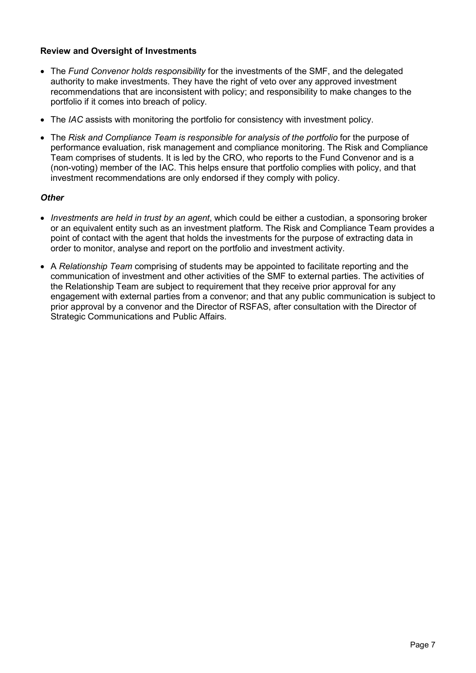# Review and Oversight of Investments

- The Fund Convenor holds responsibility for the investments of the SMF, and the delegated authority to make investments. They have the right of veto over any approved investment recommendations that are inconsistent with policy; and responsibility to make changes to the portfolio if it comes into breach of policy.
- The IAC assists with monitoring the portfolio for consistency with investment policy.
- The Risk and Compliance Team is responsible for analysis of the portfolio for the purpose of performance evaluation, risk management and compliance monitoring. The Risk and Compliance Team comprises of students. It is led by the CRO, who reports to the Fund Convenor and is a (non-voting) member of the IAC. This helps ensure that portfolio complies with policy, and that investment recommendations are only endorsed if they comply with policy.

# **Other**

- Investments are held in trust by an agent, which could be either a custodian, a sponsoring broker or an equivalent entity such as an investment platform. The Risk and Compliance Team provides a point of contact with the agent that holds the investments for the purpose of extracting data in order to monitor, analyse and report on the portfolio and investment activity.
- A Relationship Team comprising of students may be appointed to facilitate reporting and the communication of investment and other activities of the SMF to external parties. The activities of the Relationship Team are subject to requirement that they receive prior approval for any engagement with external parties from a convenor; and that any public communication is subject to prior approval by a convenor and the Director of RSFAS, after consultation with the Director of Strategic Communications and Public Affairs.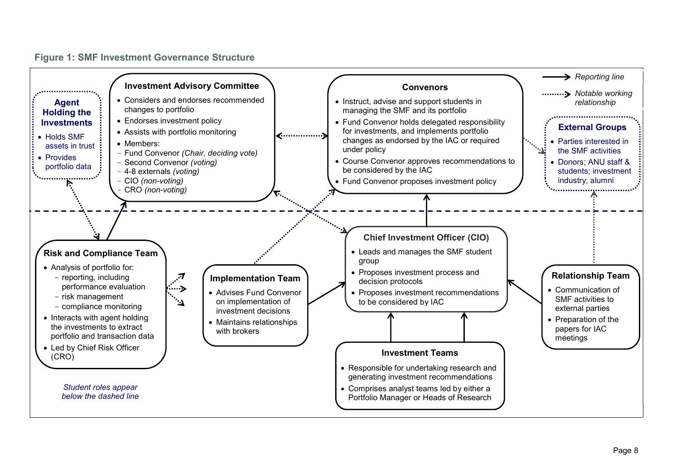## Figure 1: SMF Investment Governance Structure

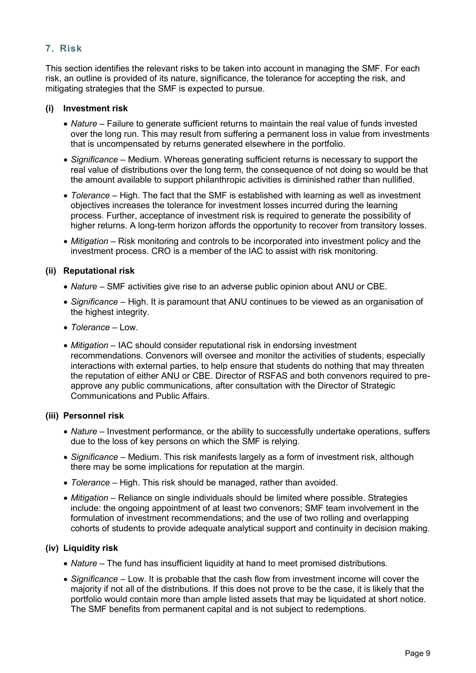# 7. Risk

This section identifies the relevant risks to be taken into account in managing the SMF. For each risk, an outline is provided of its nature, significance, the tolerance for accepting the risk, and mitigating strategies that the SMF is expected to pursue.

## (i) Investment risk

- Nature Failure to generate sufficient returns to maintain the real value of funds invested over the long run. This may result from suffering a permanent loss in value from investments that is uncompensated by returns generated elsewhere in the portfolio.
- Significance Medium. Whereas generating sufficient returns is necessary to support the real value of distributions over the long term, the consequence of not doing so would be that the amount available to support philanthropic activities is diminished rather than nullified.
- Tolerance High. The fact that the SMF is established with learning as well as investment objectives increases the tolerance for investment losses incurred during the learning process. Further, acceptance of investment risk is required to generate the possibility of higher returns. A long-term horizon affords the opportunity to recover from transitory losses.
- Mitigation Risk monitoring and controls to be incorporated into investment policy and the investment process. CRO is a member of the IAC to assist with risk monitoring.

## (ii) Reputational risk

- Nature SMF activities give rise to an adverse public opinion about ANU or CBE.
- Significance High. It is paramount that ANU continues to be viewed as an organisation of the highest integrity.
- Tolerance Low.
- Mitigation IAC should consider reputational risk in endorsing investment recommendations. Convenors will oversee and monitor the activities of students, especially interactions with external parties, to help ensure that students do nothing that may threaten the reputation of either ANU or CBE. Director of RSFAS and both convenors required to preapprove any public communications, after consultation with the Director of Strategic Communications and Public Affairs.

## (iii) Personnel risk

- Nature Investment performance, or the ability to successfully undertake operations, suffers due to the loss of key persons on which the SMF is relying.
- Significance Medium. This risk manifests largely as a form of investment risk, although there may be some implications for reputation at the margin.
- Tolerance High. This risk should be managed, rather than avoided.
- Mitigation Reliance on single individuals should be limited where possible. Strategies include: the ongoing appointment of at least two convenors; SMF team involvement in the formulation of investment recommendations; and the use of two rolling and overlapping cohorts of students to provide adequate analytical support and continuity in decision making.

## (iv) Liquidity risk

- Nature The fund has insufficient liquidity at hand to meet promised distributions.
- Significance Low. It is probable that the cash flow from investment income will cover the majority if not all of the distributions. If this does not prove to be the case, it is likely that the portfolio would contain more than ample listed assets that may be liquidated at short notice. The SMF benefits from permanent capital and is not subject to redemptions.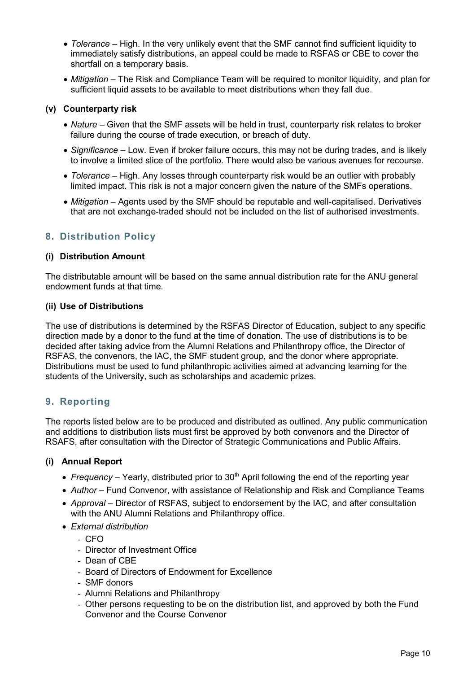- Tolerance High. In the very unlikely event that the SMF cannot find sufficient liquidity to immediately satisfy distributions, an appeal could be made to RSFAS or CBE to cover the shortfall on a temporary basis.
- *Mitigation* The Risk and Compliance Team will be required to monitor liquidity, and plan for sufficient liquid assets to be available to meet distributions when they fall due.

## (v) Counterparty risk

- Nature Given that the SMF assets will be held in trust, counterparty risk relates to broker failure during the course of trade execution, or breach of duty.
- Significance Low. Even if broker failure occurs, this may not be during trades, and is likely to involve a limited slice of the portfolio. There would also be various avenues for recourse.
- Tolerance High. Any losses through counterparty risk would be an outlier with probably limited impact. This risk is not a major concern given the nature of the SMFs operations.
- Mitigation Agents used by the SMF should be reputable and well-capitalised. Derivatives that are not exchange-traded should not be included on the list of authorised investments.

# 8. Distribution Policy

## (i) Distribution Amount

The distributable amount will be based on the same annual distribution rate for the ANU general endowment funds at that time.

## (ii) Use of Distributions

The use of distributions is determined by the RSFAS Director of Education, subject to any specific direction made by a donor to the fund at the time of donation. The use of distributions is to be decided after taking advice from the Alumni Relations and Philanthropy office, the Director of RSFAS, the convenors, the IAC, the SMF student group, and the donor where appropriate. Distributions must be used to fund philanthropic activities aimed at advancing learning for the students of the University, such as scholarships and academic prizes.

# 9. Reporting

The reports listed below are to be produced and distributed as outlined. Any public communication and additions to distribution lists must first be approved by both convenors and the Director of RSAFS, after consultation with the Director of Strategic Communications and Public Affairs.

## (i) Annual Report

- Frequency Yearly, distributed prior to  $30<sup>th</sup>$  April following the end of the reporting year
- Author Fund Convenor, with assistance of Relationship and Risk and Compliance Teams
- Approval Director of RSFAS, subject to endorsement by the IAC, and after consultation with the ANU Alumni Relations and Philanthropy office.
- External distribution
	- CFO
	- Director of Investment Office
	- Dean of CBE
	- Board of Directors of Endowment for Excellence
	- SMF donors
	- Alumni Relations and Philanthropy
	- Other persons requesting to be on the distribution list, and approved by both the Fund Convenor and the Course Convenor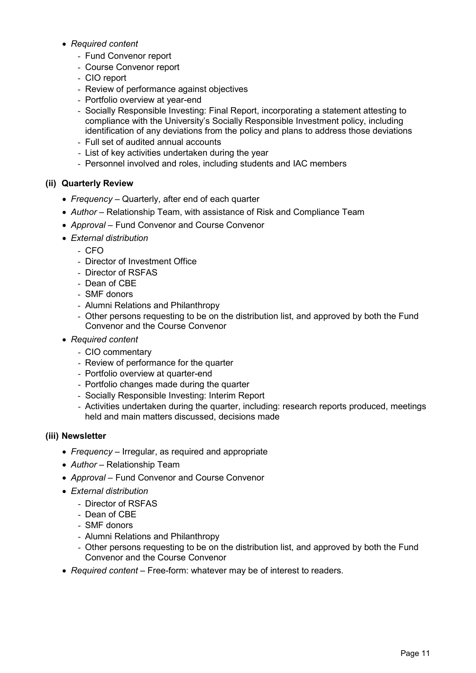- Required content
	- Fund Convenor report
	- Course Convenor report
	- CIO report
	- Review of performance against objectives
	- Portfolio overview at year-end
	- Socially Responsible Investing: Final Report, incorporating a statement attesting to compliance with the University's Socially Responsible Investment policy, including identification of any deviations from the policy and plans to address those deviations
	- Full set of audited annual accounts
	- List of key activities undertaken during the year
	- Personnel involved and roles, including students and IAC members

# (ii) Quarterly Review

- Frequency Quarterly, after end of each quarter
- Author Relationship Team, with assistance of Risk and Compliance Team
- Approval Fund Convenor and Course Convenor
- External distribution
	- CFO
	- Director of Investment Office
	- Director of RSFAS
	- Dean of CBE
	- SMF donors
	- Alumni Relations and Philanthropy
	- Other persons requesting to be on the distribution list, and approved by both the Fund Convenor and the Course Convenor
- Required content
	- CIO commentary
	- Review of performance for the quarter
	- Portfolio overview at quarter-end
	- Portfolio changes made during the quarter
	- Socially Responsible Investing: Interim Report
	- Activities undertaken during the quarter, including: research reports produced, meetings held and main matters discussed, decisions made

# (iii) Newsletter

- Frequency Irregular, as required and appropriate
- Author Relationship Team
- Approval Fund Convenor and Course Convenor
- External distribution
	- Director of RSFAS
	- Dean of CBE
	- SMF donors
	- Alumni Relations and Philanthropy
	- Other persons requesting to be on the distribution list, and approved by both the Fund Convenor and the Course Convenor
- Required content Free-form: whatever may be of interest to readers.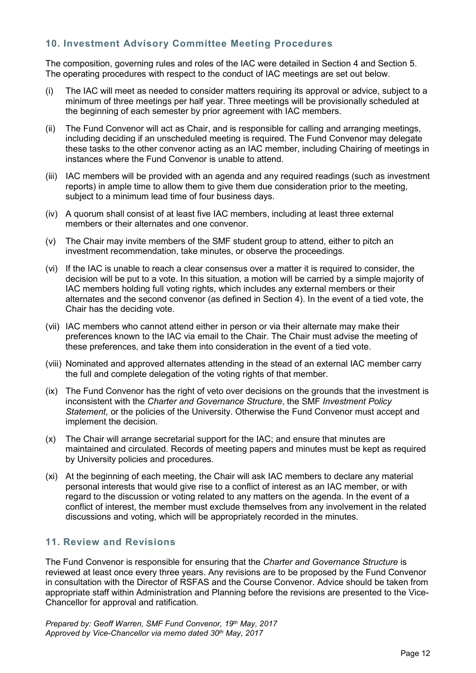# 10. Investment Advisory Committee Meeting Procedures

The composition, governing rules and roles of the IAC were detailed in Section 4 and Section 5. The operating procedures with respect to the conduct of IAC meetings are set out below.

- (i) The IAC will meet as needed to consider matters requiring its approval or advice, subject to a minimum of three meetings per half year. Three meetings will be provisionally scheduled at the beginning of each semester by prior agreement with IAC members.
- (ii) The Fund Convenor will act as Chair, and is responsible for calling and arranging meetings, including deciding if an unscheduled meeting is required. The Fund Convenor may delegate these tasks to the other convenor acting as an IAC member, including Chairing of meetings in instances where the Fund Convenor is unable to attend.
- (iii) IAC members will be provided with an agenda and any required readings (such as investment reports) in ample time to allow them to give them due consideration prior to the meeting, subject to a minimum lead time of four business days.
- (iv) A quorum shall consist of at least five IAC members, including at least three external members or their alternates and one convenor.
- (v) The Chair may invite members of the SMF student group to attend, either to pitch an investment recommendation, take minutes, or observe the proceedings.
- (vi) If the IAC is unable to reach a clear consensus over a matter it is required to consider, the decision will be put to a vote. In this situation, a motion will be carried by a simple majority of IAC members holding full voting rights, which includes any external members or their alternates and the second convenor (as defined in Section 4). In the event of a tied vote, the Chair has the deciding vote.
- (vii) IAC members who cannot attend either in person or via their alternate may make their preferences known to the IAC via email to the Chair. The Chair must advise the meeting of these preferences, and take them into consideration in the event of a tied vote.
- (viii) Nominated and approved alternates attending in the stead of an external IAC member carry the full and complete delegation of the voting rights of that member.
- (ix) The Fund Convenor has the right of veto over decisions on the grounds that the investment is inconsistent with the Charter and Governance Structure, the SMF Investment Policy Statement, or the policies of the University. Otherwise the Fund Convenor must accept and implement the decision.
- (x) The Chair will arrange secretarial support for the IAC; and ensure that minutes are maintained and circulated. Records of meeting papers and minutes must be kept as required by University policies and procedures.
- (xi) At the beginning of each meeting, the Chair will ask IAC members to declare any material personal interests that would give rise to a conflict of interest as an IAC member, or with regard to the discussion or voting related to any matters on the agenda. In the event of a conflict of interest, the member must exclude themselves from any involvement in the related discussions and voting, which will be appropriately recorded in the minutes.

# 11. Review and Revisions

The Fund Convenor is responsible for ensuring that the Charter and Governance Structure is reviewed at least once every three years. Any revisions are to be proposed by the Fund Convenor in consultation with the Director of RSFAS and the Course Convenor. Advice should be taken from appropriate staff within Administration and Planning before the revisions are presented to the Vice-Chancellor for approval and ratification.

Prepared by: Geoff Warren, SMF Fund Convenor, 19th May, 2017 Approved by Vice-Chancellor via memo dated 30<sup>th</sup> May, 2017